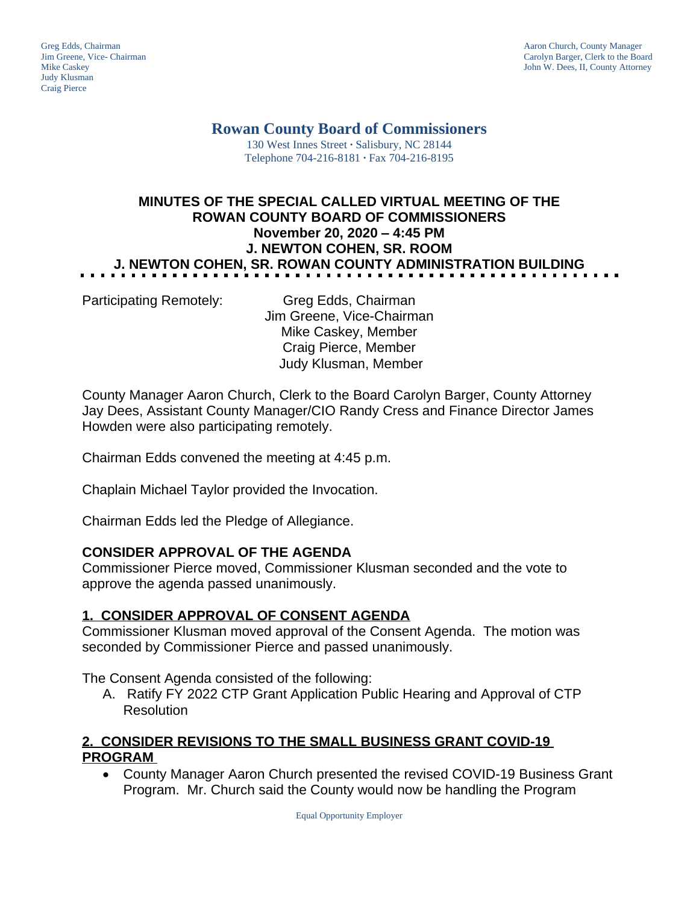Judy Klusman Craig Pierce

Greg Edds, Chairman Aaron Church, County Manager<br>
1989 - Garolyn Barger, Clerk to the Boa<br>
Carolyn Barger, Clerk to the Boa Jim Greene, Vice- Chairman Carolyn Barger, Clerk to the Board John W. Dees, II, County Attorney

# **Rowan County Board of Commissioners**

130 West Innes Street **∙** Salisbury, NC 28144 Telephone 704-216-8181 **∙** Fax 704-216-8195

## **MINUTES OF THE SPECIAL CALLED VIRTUAL MEETING OF THE ROWAN COUNTY BOARD OF COMMISSIONERS November 20, 2020 – 4:45 PM J. NEWTON COHEN, SR. ROOM J. NEWTON COHEN, SR. ROWAN COUNTY ADMINISTRATION BUILDING**

Participating Remotely: Greg Edds, Chairman Jim Greene, Vice-Chairman Mike Caskey, Member Craig Pierce, Member Judy Klusman, Member

County Manager Aaron Church, Clerk to the Board Carolyn Barger, County Attorney Jay Dees, Assistant County Manager/CIO Randy Cress and Finance Director James Howden were also participating remotely.

Chairman Edds convened the meeting at 4:45 p.m.

Chaplain Michael Taylor provided the Invocation.

Chairman Edds led the Pledge of Allegiance.

### **CONSIDER APPROVAL OF THE AGENDA**

Commissioner Pierce moved, Commissioner Klusman seconded and the vote to approve the agenda passed unanimously.

### **1. CONSIDER APPROVAL OF CONSENT AGENDA**

Commissioner Klusman moved approval of the Consent Agenda. The motion was seconded by Commissioner Pierce and passed unanimously.

The Consent Agenda consisted of the following:

A. Ratify FY 2022 CTP Grant Application Public Hearing and Approval of CTP Resolution

### **2. CONSIDER REVISIONS TO THE SMALL BUSINESS GRANT COVID-19 PROGRAM**

 County Manager Aaron Church presented the revised COVID-19 Business Grant Program. Mr. Church said the County would now be handling the Program

Equal Opportunity Employer